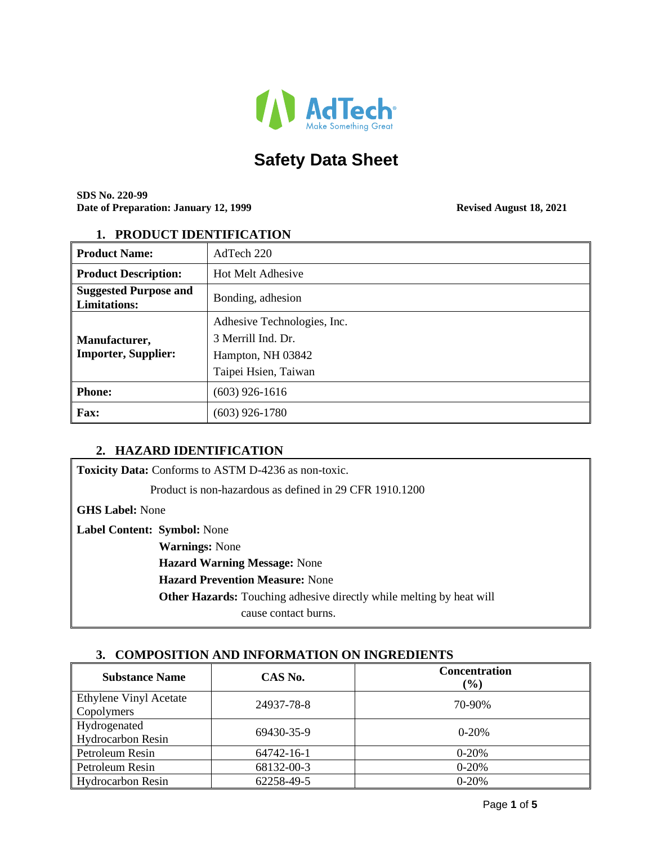

# **Safety Data Sheet**

**SDS No. 220-99 Date of Preparation: January 12, 1999 Revised August 18, 2021** 

#### **1. PRODUCT IDENTIFICATION**

| <b>Product Name:</b>                                | AdTech 220                                                                                     |
|-----------------------------------------------------|------------------------------------------------------------------------------------------------|
| <b>Product Description:</b>                         | <b>Hot Melt Adhesive</b>                                                                       |
| <b>Suggested Purpose and</b><br><b>Limitations:</b> | Bonding, adhesion                                                                              |
| Manufacturer,<br><b>Importer, Supplier:</b>         | Adhesive Technologies, Inc.<br>3 Merrill Ind. Dr.<br>Hampton, NH 03842<br>Taipei Hsien, Taiwan |
| <b>Phone:</b>                                       | $(603)$ 926-1616                                                                               |
| <b>Fax:</b>                                         | $(603)$ 926-1780                                                                               |

#### **2. HAZARD IDENTIFICATION**

**Toxicity Data:** Conforms to ASTM D-4236 as non-toxic.

Product is non-hazardous as defined in 29 CFR 1910.1200

**GHS Label:** None

**Label Content: Symbol:** None

 **Warnings:** None

 **Hazard Warning Message:** None

 **Hazard Prevention Measure:** None

 **Other Hazards:** Touching adhesive directly while melting by heat will

cause contact burns.

## **3. COMPOSITION AND INFORMATION ON INGREDIENTS**

| <b>Substance Name</b>                       | CAS No.    | <b>Concentration</b><br>$(\%)$ |
|---------------------------------------------|------------|--------------------------------|
| Ethylene Vinyl Acetate<br><b>Copolymers</b> | 24937-78-8 | 70-90%                         |
| <b>Hydrogenated</b><br>Hydrocarbon Resin    | 69430-35-9 | $0-20%$                        |
| Petroleum Resin                             | 64742-16-1 | $0 - 20%$                      |
| Petroleum Resin                             | 68132-00-3 | $0 - 20%$                      |
| Hydrocarbon Resin                           | 62258-49-5 | $0 - 20%$                      |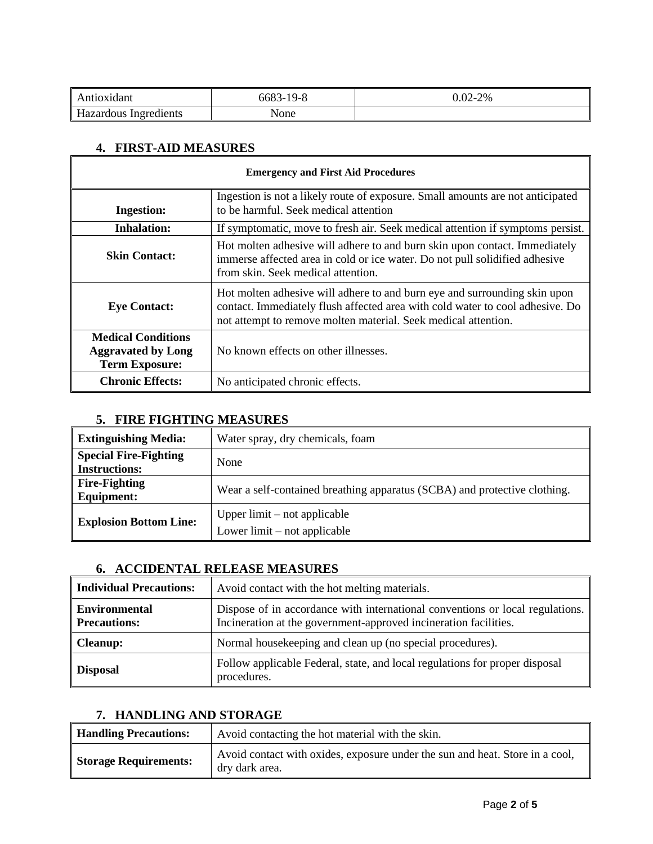| tioxidant                                | 6683<br>$-19-8$<br>- ר | $0.02 - 2%$ |
|------------------------------------------|------------------------|-------------|
| $\mathbf{r}$<br>Hazardous<br>Ingredients | None                   |             |

# **4. FIRST-AID MEASURES**

 $\overline{\Gamma}$ 

| <b>Emergency and First Aid Procedures</b>                                       |                                                                                                                                                                                                                              |
|---------------------------------------------------------------------------------|------------------------------------------------------------------------------------------------------------------------------------------------------------------------------------------------------------------------------|
| <b>Ingestion:</b>                                                               | Ingestion is not a likely route of exposure. Small amounts are not anticipated<br>to be harmful. Seek medical attention                                                                                                      |
| <b>Inhalation:</b>                                                              | If symptomatic, move to fresh air. Seek medical attention if symptoms persist.                                                                                                                                               |
| <b>Skin Contact:</b>                                                            | Hot molten adhesive will adhere to and burn skin upon contact. Immediately<br>immerse affected area in cold or ice water. Do not pull solidified adhesive<br>from skin. Seek medical attention.                              |
| <b>Eye Contact:</b>                                                             | Hot molten adhesive will adhere to and burn eye and surrounding skin upon<br>contact. Immediately flush affected area with cold water to cool adhesive. Do<br>not attempt to remove molten material. Seek medical attention. |
| <b>Medical Conditions</b><br><b>Aggravated by Long</b><br><b>Term Exposure:</b> | No known effects on other illnesses.                                                                                                                                                                                         |
| <b>Chronic Effects:</b>                                                         | No anticipated chronic effects.                                                                                                                                                                                              |

# **5. FIRE FIGHTING MEASURES**

| <b>Extinguishing Media:</b>                          | Water spray, dry chemicals, foam                                          |
|------------------------------------------------------|---------------------------------------------------------------------------|
| <b>Special Fire-Fighting</b><br><b>Instructions:</b> | None                                                                      |
| <b>Fire-Fighting</b><br>Equipment:                   | Wear a self-contained breathing apparatus (SCBA) and protective clothing. |
| <b>Explosion Bottom Line:</b>                        | Upper $limit - not applicable$<br>Lower $limit - not applicable$          |

## **6. ACCIDENTAL RELEASE MEASURES**

| <b>Individual Precautions:</b>              | Avoid contact with the hot melting materials.                                                                                                     |
|---------------------------------------------|---------------------------------------------------------------------------------------------------------------------------------------------------|
| <b>Environmental</b><br><b>Precautions:</b> | Dispose of in accordance with international conventions or local regulations.<br>Incineration at the government-approved incineration facilities. |
| <b>Cleanup:</b>                             | Normal housekeeping and clean up (no special procedures).                                                                                         |
| <b>Disposal</b>                             | Follow applicable Federal, state, and local regulations for proper disposal<br>procedures.                                                        |

#### **7. HANDLING AND STORAGE**

| <b>Handling Precautions:</b> | Avoid contacting the hot material with the skin.                                               |
|------------------------------|------------------------------------------------------------------------------------------------|
| <b>Storage Requirements:</b> | Avoid contact with oxides, exposure under the sun and heat. Store in a cool,<br>dry dark area. |

 $\overline{\mathbf{1}}$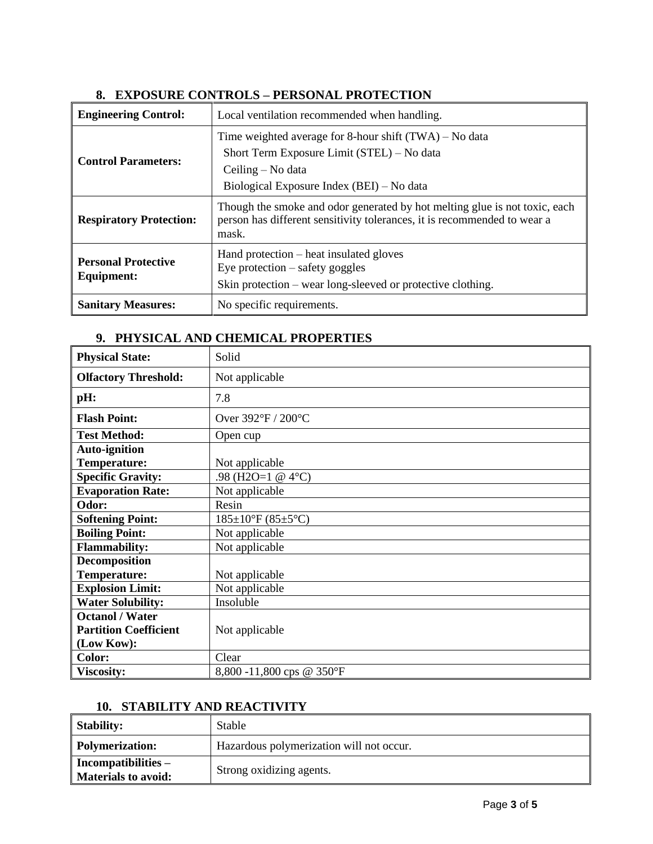| <b>Engineering Control:</b>                     | Local ventilation recommended when handling.                                                                                                                             |
|-------------------------------------------------|--------------------------------------------------------------------------------------------------------------------------------------------------------------------------|
| <b>Control Parameters:</b>                      | Time weighted average for 8-hour shift $(TWA) - No data$<br>Short Term Exposure Limit (STEL) – No data<br>Ceiling – No data<br>Biological Exposure Index (BEI) – No data |
| <b>Respiratory Protection:</b>                  | Though the smoke and odor generated by hot melting glue is not toxic, each<br>person has different sensitivity tolerances, it is recommended to wear a<br>mask.          |
| <b>Personal Protective</b><br><b>Equipment:</b> | Hand protection – heat insulated gloves<br>Eye protection $-$ safety goggles<br>Skin protection – wear long-sleeved or protective clothing.                              |
| <b>Sanitary Measures:</b>                       | No specific requirements.                                                                                                                                                |

## **8. EXPOSURE CONTROLS – PERSONAL PROTECTION**

## **9. PHYSICAL AND CHEMICAL PROPERTIES**

| <b>Physical State:</b>       | Solid                                 |
|------------------------------|---------------------------------------|
| <b>Olfactory Threshold:</b>  | Not applicable                        |
| pH:                          | 7.8                                   |
| <b>Flash Point:</b>          | Over 392°F / 200°C                    |
| <b>Test Method:</b>          | Open cup                              |
| <b>Auto-ignition</b>         |                                       |
| Temperature:                 | Not applicable                        |
| <b>Specific Gravity:</b>     | .98 (H2O=1 @ 4 $^{\circ}$ C)          |
| <b>Evaporation Rate:</b>     | Not applicable                        |
| Odor:                        | Resin                                 |
| <b>Softening Point:</b>      | $185 \pm 10^{\circ}$ F (85 $\pm$ 5°C) |
| <b>Boiling Point:</b>        | Not applicable                        |
| <b>Flammability:</b>         | Not applicable                        |
| <b>Decomposition</b>         |                                       |
| Temperature:                 | Not applicable                        |
| <b>Explosion Limit:</b>      | Not applicable                        |
| <b>Water Solubility:</b>     | Insoluble                             |
| <b>Octanol</b> / Water       |                                       |
| <b>Partition Coefficient</b> | Not applicable                        |
| (Low Kow):                   |                                       |
| Color:                       | Clear                                 |
| <b>Viscosity:</b>            | 8,800 -11,800 cps @ 350°F             |

## **10. STABILITY AND REACTIVITY**

| <b>Stability:</b>                                   | <b>Stable</b>                            |
|-----------------------------------------------------|------------------------------------------|
| <b>Polymerization:</b>                              | Hazardous polymerization will not occur. |
| $Incompatibilities -$<br><b>Materials to avoid:</b> | Strong oxidizing agents.                 |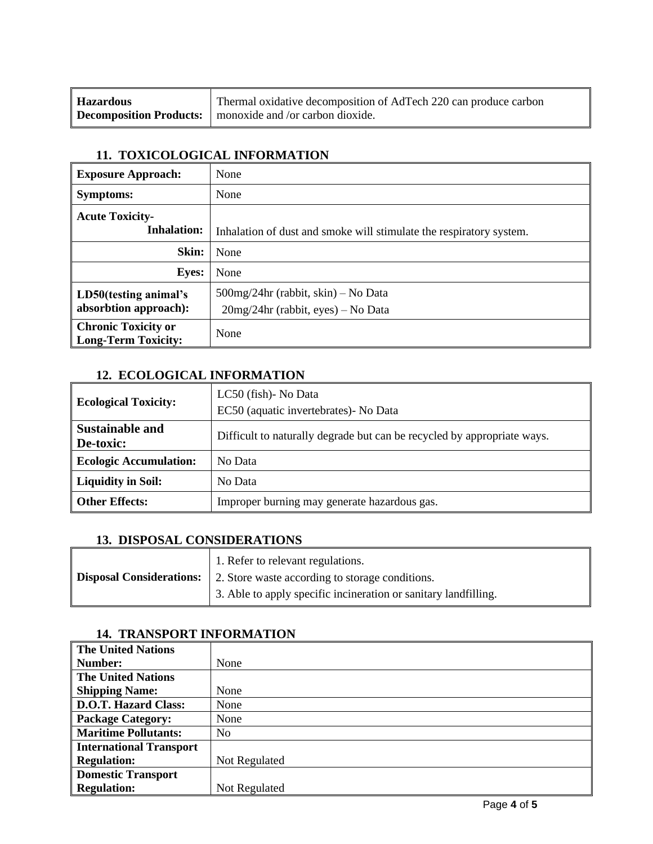| <b>Hazardous</b> | Thermal oxidative decomposition of AdTech 220 can produce carbon |
|------------------|------------------------------------------------------------------|
|                  | Decomposition Products:   monoxide and /or carbon dioxide.       |

#### **11. TOXICOLOGICAL INFORMATION**

| <b>Exposure Approach:</b>                         | None                                                                           |
|---------------------------------------------------|--------------------------------------------------------------------------------|
| <b>Symptoms:</b>                                  | None                                                                           |
| <b>Acute Toxicity-</b><br><b>Inhalation:</b>      | Inhalation of dust and smoke will stimulate the respiratory system.            |
| Skin:                                             | None                                                                           |
| <b>Eyes:</b>                                      | None                                                                           |
| LD50(testing animal's<br>absorbtion approach):    | $500$ mg/24hr (rabbit, skin) – No Data<br>$20mg/24hr$ (rabbit, eyes) – No Data |
| <b>Chronic Toxicity or</b><br>Long-Term Toxicity: | None                                                                           |

#### **12. ECOLOGICAL INFORMATION**

| <b>Ecological Toxicity:</b>         | LC50 (fish)- No Data<br>EC50 (aquatic invertebrates) - No Data          |
|-------------------------------------|-------------------------------------------------------------------------|
| <b>Sustainable and</b><br>De-toxic: | Difficult to naturally degrade but can be recycled by appropriate ways. |
| <b>Ecologic Accumulation:</b>       | No Data                                                                 |
| <b>Liquidity in Soil:</b>           | No Data                                                                 |
| <b>Other Effects:</b>               | Improper burning may generate hazardous gas.                            |

## **13. DISPOSAL CONSIDERATIONS**

| 1. Refer to relevant regulations.                                               |
|---------------------------------------------------------------------------------|
| <b>Disposal Considerations:</b> 2. Store waste according to storage conditions. |
| 3. Able to apply specific incineration or sanitary landfilling.                 |

| The United Nations          |                |
|-----------------------------|----------------|
| Number:                     | None           |
| The United Nations          |                |
| <b>Shipping Name:</b>       | None           |
| D.O.T. Hazard Class:        | None           |
| <b>Package Category:</b>    | None           |
| <b>Maritime Pollutants:</b> | N <sub>0</sub> |
| International Transport     |                |
| <b>Regulation:</b>          | Not Regulated  |
| Domestic Transport          |                |
| <b>Regulation:</b>          | Not Regulated  |

## **14. TRANSPORT INFORMATION**